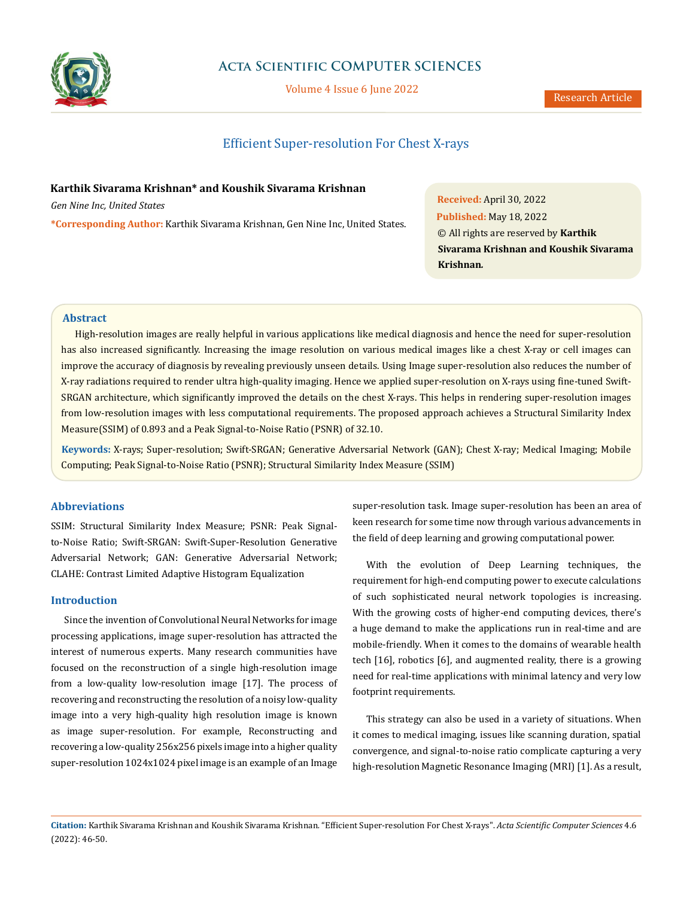

# **Acta Scientific COMPUTER SCIENCES**

Volume 4 Issue 6 June 2022

# Efficient Super-resolution For Chest X-rays

# **Karthik Sivarama Krishnan\* and Koushik Sivarama Krishnan**

*Gen Nine Inc, United States*

**\*Corresponding Author:** Karthik Sivarama Krishnan, Gen Nine Inc, United States.

**Received:** April 30, 2022 **Published:** May 18, 2022 © All rights are reserved by **Karthik Sivarama Krishnan and Koushik Sivarama Krishnan***.*

# **Abstract**

High-resolution images are really helpful in various applications like medical diagnosis and hence the need for super-resolution has also increased significantly. Increasing the image resolution on various medical images like a chest X-ray or cell images can improve the accuracy of diagnosis by revealing previously unseen details. Using Image super-resolution also reduces the number of X-ray radiations required to render ultra high-quality imaging. Hence we applied super-resolution on X-rays using fine-tuned Swift-SRGAN architecture, which significantly improved the details on the chest X-rays. This helps in rendering super-resolution images from low-resolution images with less computational requirements. The proposed approach achieves a Structural Similarity Index Measure(SSIM) of 0.893 and a Peak Signal-to-Noise Ratio (PSNR) of 32.10.

**Keywords:** X-rays; Super-resolution; Swift-SRGAN; Generative Adversarial Network (GAN); Chest X-ray; Medical Imaging; Mobile Computing; Peak Signal-to-Noise Ratio (PSNR); Structural Similarity Index Measure (SSIM)

# **Abbreviations**

SSIM: Structural Similarity Index Measure; PSNR: Peak Signalto-Noise Ratio; Swift-SRGAN: Swift-Super-Resolution Generative Adversarial Network; GAN: Generative Adversarial Network; CLAHE: Contrast Limited Adaptive Histogram Equalization

# **Introduction**

Since the invention of Convolutional Neural Networks for image processing applications, image super-resolution has attracted the interest of numerous experts. Many research communities have focused on the reconstruction of a single high-resolution image from a low-quality low-resolution image [17]. The process of recovering and reconstructing the resolution of a noisy low-quality image into a very high-quality high resolution image is known as image super-resolution. For example, Reconstructing and recovering a low-quality 256x256 pixels image into a higher quality super-resolution 1024x1024 pixel image is an example of an Image super-resolution task. Image super-resolution has been an area of keen research for some time now through various advancements in the field of deep learning and growing computational power.

With the evolution of Deep Learning techniques, the requirement for high-end computing power to execute calculations of such sophisticated neural network topologies is increasing. With the growing costs of higher-end computing devices, there's a huge demand to make the applications run in real-time and are mobile-friendly. When it comes to the domains of wearable health tech [16], robotics [6], and augmented reality, there is a growing need for real-time applications with minimal latency and very low footprint requirements.

This strategy can also be used in a variety of situations. When it comes to medical imaging, issues like scanning duration, spatial convergence, and signal-to-noise ratio complicate capturing a very high-resolution Magnetic Resonance Imaging (MRI) [1]. As a result,

**Citation:** Karthik Sivarama Krishnan and Koushik Sivarama Krishnan*.* "Efficient Super-resolution For Chest X-rays". *Acta Scientific Computer Sciences* 4.6 (2022): 46-50.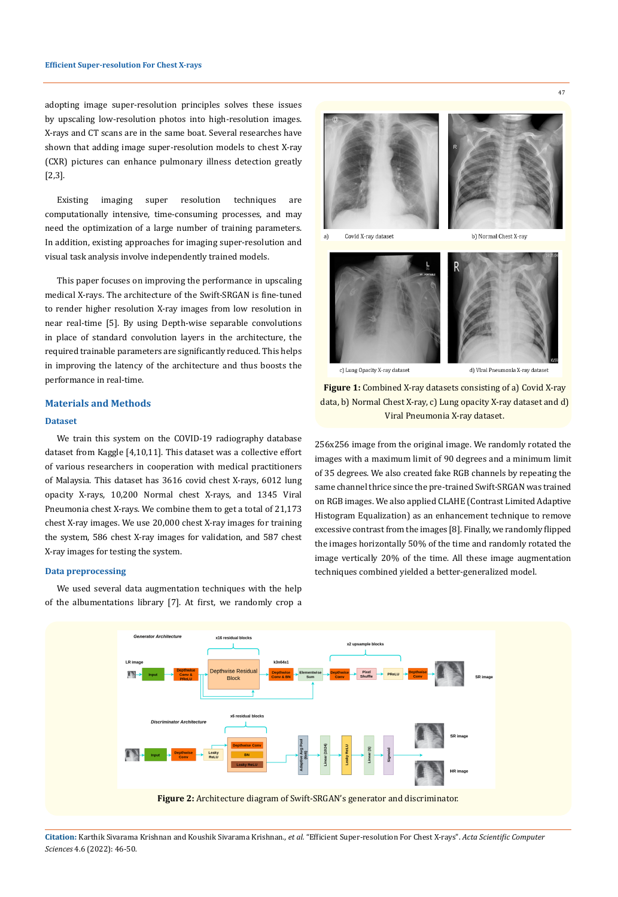adopting image super-resolution principles solves these issues by upscaling low-resolution photos into high-resolution images. X-rays and CT scans are in the same boat. Several researches have shown that adding image super-resolution models to chest X-ray (CXR) pictures can enhance pulmonary illness detection greatly [2,3].

Existing imaging super resolution techniques are computationally intensive, time-consuming processes, and may need the optimization of a large number of training parameters. In addition, existing approaches for imaging super-resolution and visual task analysis involve independently trained models.

This paper focuses on improving the performance in upscaling medical X-rays. The architecture of the Swift-SRGAN is fine-tuned to render higher resolution X-ray images from low resolution in near real-time [5]. By using Depth-wise separable convolutions in place of standard convolution layers in the architecture, the required trainable parameters are significantly reduced. This helps in improving the latency of the architecture and thus boosts the performance in real-time.

# **Materials and Methods**

### **Dataset**

We train this system on the COVID-19 radiography database dataset from Kaggle [4,10,11]. This dataset was a collective effort of various researchers in cooperation with medical practitioners of Malaysia. This dataset has 3616 covid chest X-rays, 6012 lung opacity X-rays, 10,200 Normal chest X-rays, and 1345 Viral Pneumonia chest X-rays. We combine them to get a total of 21,173 chest X-ray images. We use 20,000 chest X-ray images for training the system, 586 chest X-ray images for validation, and 587 chest X-ray images for testing the system.

We used several data augmentation techniques with the help of the albumentations library [7]. At first, we randomly crop a

a) Covid X-ray dataset b) Normal Chest X-ray



c) Lung Opacity X-ray dataset

d) Viral Pneumonia X-ray datase

**Figure 1:** Combined X-ray datasets consisting of a) Covid X-ray data, b) Normal Chest X-ray, c) Lung opacity X-ray dataset and d) Viral Pneumonia X-ray dataset.

256x256 image from the original image. We randomly rotated the images with a maximum limit of 90 degrees and a minimum limit of 35 degrees. We also created fake RGB channels by repeating the same channel thrice since the pre-trained Swift-SRGAN was trained on RGB images. We also applied CLAHE (Contrast Limited Adaptive Histogram Equalization) as an enhancement technique to remove excessive contrast from the images [8]. Finally, we randomly flipped the images horizontally 50% of the time and randomly rotated the image vertically 20% of the time. All these image augmentation **Data preprocessing** techniques combined yielded a better-generalized model.



**Citation:** Karthik Sivarama Krishnan and Koushik Sivarama Krishnan*., et al.* "Efficient Super-resolution For Chest X-rays". *Acta Scientific Computer Sciences* 4.6 (2022): 46-50.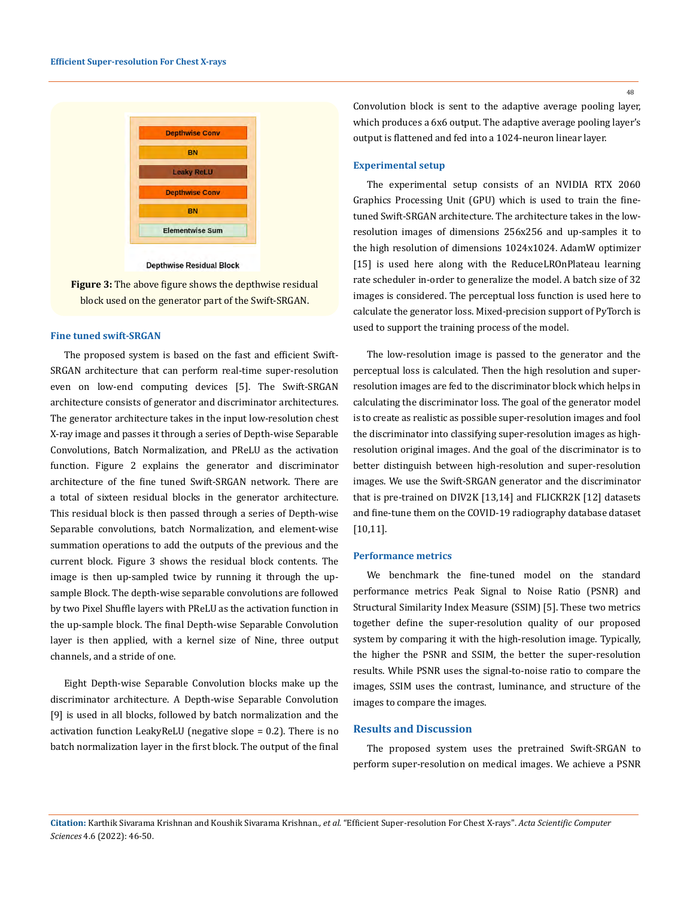

**Depthwise Residual Block** 

**Figure 3:** The above figure shows the depthwise residual block used on the generator part of the Swift-SRGAN.

### **Fine tuned swift-SRGAN**

The proposed system is based on the fast and efficient Swift-SRGAN architecture that can perform real-time super-resolution even on low-end computing devices [5]. The Swift-SRGAN architecture consists of generator and discriminator architectures. The generator architecture takes in the input low-resolution chest X-ray image and passes it through a series of Depth-wise Separable Convolutions, Batch Normalization, and PReLU as the activation function. Figure 2 explains the generator and discriminator architecture of the fine tuned Swift-SRGAN network. There are a total of sixteen residual blocks in the generator architecture. This residual block is then passed through a series of Depth-wise Separable convolutions, batch Normalization, and element-wise summation operations to add the outputs of the previous and the current block. Figure 3 shows the residual block contents. The image is then up-sampled twice by running it through the upsample Block. The depth-wise separable convolutions are followed by two Pixel Shuffle layers with PReLU as the activation function in the up-sample block. The final Depth-wise Separable Convolution layer is then applied, with a kernel size of Nine, three output channels, and a stride of one.

Eight Depth-wise Separable Convolution blocks make up the discriminator architecture. A Depth-wise Separable Convolution [9] is used in all blocks, followed by batch normalization and the activation function LeakyReLU (negative slope = 0.2). There is no batch normalization layer in the first block. The output of the final

Convolution block is sent to the adaptive average pooling layer, which produces a 6x6 output. The adaptive average pooling layer's output is flattened and fed into a 1024-neuron linear layer.

### **Experimental setup**

The experimental setup consists of an NVIDIA RTX 2060 Graphics Processing Unit (GPU) which is used to train the finetuned Swift-SRGAN architecture. The architecture takes in the lowresolution images of dimensions 256x256 and up-samples it to the high resolution of dimensions 1024x1024. AdamW optimizer [15] is used here along with the ReduceLROnPlateau learning rate scheduler in-order to generalize the model. A batch size of 32 images is considered. The perceptual loss function is used here to calculate the generator loss. Mixed-precision support of PyTorch is used to support the training process of the model.

The low-resolution image is passed to the generator and the perceptual loss is calculated. Then the high resolution and superresolution images are fed to the discriminator block which helps in calculating the discriminator loss. The goal of the generator model is to create as realistic as possible super-resolution images and fool the discriminator into classifying super-resolution images as highresolution original images. And the goal of the discriminator is to better distinguish between high-resolution and super-resolution images. We use the Swift-SRGAN generator and the discriminator that is pre-trained on DIV2K [13,14] and FLICKR2K [12] datasets and fine-tune them on the COVID-19 radiography database dataset [10,11].

### **Performance metrics**

We benchmark the fine-tuned model on the standard performance metrics Peak Signal to Noise Ratio (PSNR) and Structural Similarity Index Measure (SSIM) [5]. These two metrics together define the super-resolution quality of our proposed system by comparing it with the high-resolution image. Typically, the higher the PSNR and SSIM, the better the super-resolution results. While PSNR uses the signal-to-noise ratio to compare the images, SSIM uses the contrast, luminance, and structure of the images to compare the images.

### **Results and Discussion**

The proposed system uses the pretrained Swift-SRGAN to perform super-resolution on medical images. We achieve a PSNR

48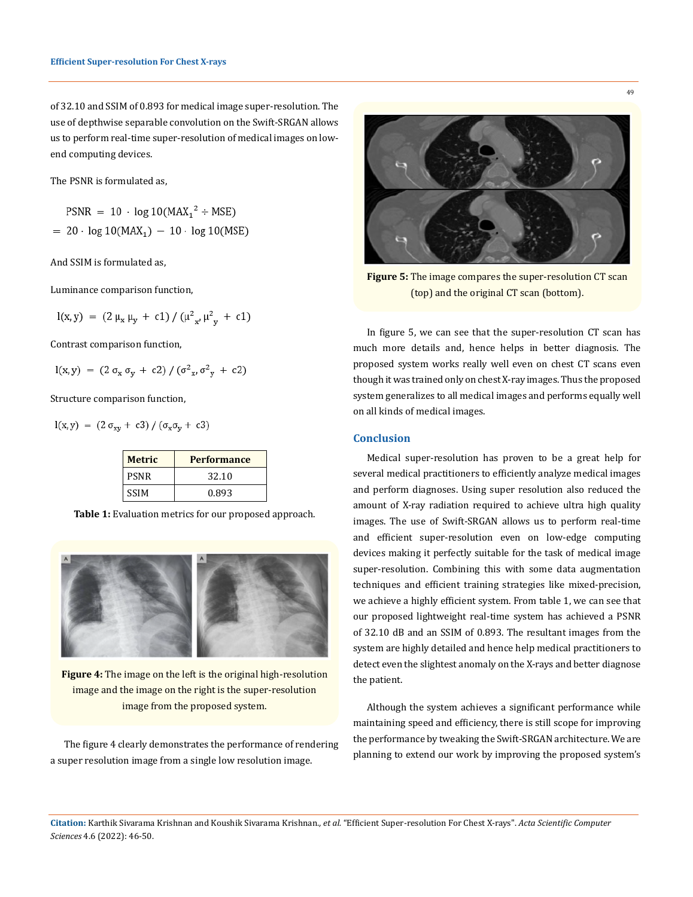of 32.10 and SSIM of 0.893 for medical image super-resolution. The use of depthwise separable convolution on the Swift-SRGAN allows us to perform real-time super-resolution of medical images on lowend computing devices.

The PSNR is formulated as,

 $PSNR = 10 \cdot log 10(MAX_1^2 \div MSE)$  $= 20 \cdot \log 10(MAX_1) - 10 \cdot \log 10(MSE)$ 

And SSIM is formulated as,

Luminance comparison function,

$$
I(x, y) = (2 \mu_x \mu_y + c1) / (\mu_{x'}^2 \mu_{y'}^2 + c1)
$$

Contrast comparison function,

$$
l(x, y) = (2 \sigma_x \sigma_y + c2) / (\sigma^2_x, \sigma^2_y + c2)
$$

Structure comparison function,

$$
l(x,y) = (2 \sigma_{xy} + c3) / (\sigma_x \sigma_y + c3)
$$

| <b>Metric</b> | <b>Performance</b> |
|---------------|--------------------|
| <b>PSNR</b>   | 32.10              |
| <b>SSIM</b>   | 0.893              |

**Table 1:** Evaluation metrics for our proposed approach.



**Figure 4:** The image on the left is the original high-resolution image and the image on the right is the super-resolution image from the proposed system.

The figure 4 clearly demonstrates the performance of rendering a super resolution image from a single low resolution image.



**Figure 5:** The image compares the super-resolution CT scan (top) and the original CT scan (bottom).

In figure 5, we can see that the super-resolution CT scan has much more details and, hence helps in better diagnosis. The proposed system works really well even on chest CT scans even though it was trained only on chest X-ray images. Thus the proposed system generalizes to all medical images and performs equally well on all kinds of medical images.

# **Conclusion**

Medical super-resolution has proven to be a great help for several medical practitioners to efficiently analyze medical images and perform diagnoses. Using super resolution also reduced the amount of X-ray radiation required to achieve ultra high quality images. The use of Swift-SRGAN allows us to perform real-time and efficient super-resolution even on low-edge computing devices making it perfectly suitable for the task of medical image super-resolution. Combining this with some data augmentation techniques and efficient training strategies like mixed-precision, we achieve a highly efficient system. From table 1, we can see that our proposed lightweight real-time system has achieved a PSNR of 32.10 dB and an SSIM of 0.893. The resultant images from the system are highly detailed and hence help medical practitioners to detect even the slightest anomaly on the X-rays and better diagnose the patient.

Although the system achieves a significant performance while maintaining speed and efficiency, there is still scope for improving the performance by tweaking the Swift-SRGAN architecture. We are planning to extend our work by improving the proposed system's

**Citation:** Karthik Sivarama Krishnan and Koushik Sivarama Krishnan*., et al.* "Efficient Super-resolution For Chest X-rays". *Acta Scientific Computer Sciences* 4.6 (2022): 46-50.